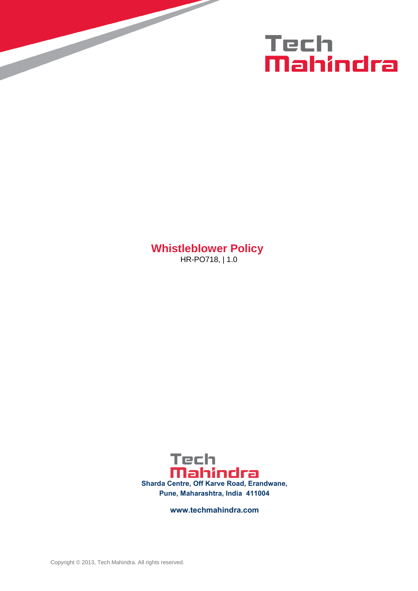

**Whistleblower Policy** HR-PO718, | 1.0



**www.techmahindra.com**

Copyright © 2013, Tech Mahindra. All rights reserved.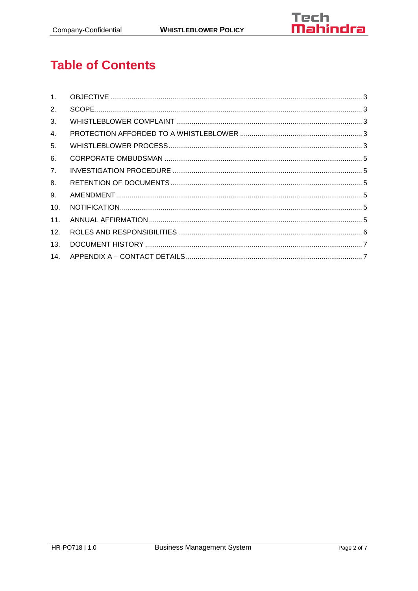

# **Table of Contents**

| 1 <sup>1</sup> |  |
|----------------|--|
| 2.             |  |
| 3.             |  |
| 4.             |  |
| 5.             |  |
| 6.             |  |
| 7 <sub>1</sub> |  |
| 8.             |  |
| 9.             |  |
| 10.            |  |
| 11.            |  |
| 12.            |  |
| 13.            |  |
| 14.            |  |
|                |  |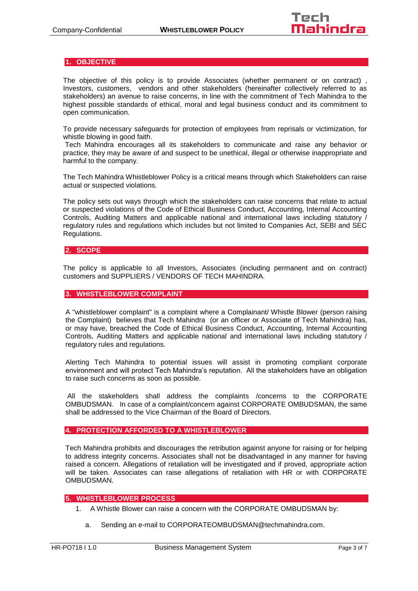# <span id="page-2-0"></span>**1. OBJECTIVE**

The objective of this policy is to provide Associates (whether permanent or on contract) , Investors, customers, vendors and other stakeholders (hereinafter collectively referred to as stakeholders) an avenue to raise concerns, in line with the commitment of Tech Mahindra to the highest possible standards of ethical, moral and legal business conduct and its commitment to open communication.

To provide necessary safeguards for protection of employees from reprisals or victimization, for whistle blowing in good faith.

Tech Mahindra encourages all its stakeholders to communicate and raise any behavior or practice, they may be aware of and suspect to be unethical, illegal or otherwise inappropriate and harmful to the company.

The Tech Mahindra Whistleblower Policy is a critical means through which Stakeholders can raise actual or suspected violations.

The policy sets out ways through which the stakeholders can raise concerns that relate to actual or suspected violations of the Code of Ethical Business Conduct, Accounting, Internal Accounting Controls, Auditing Matters and applicable national and international laws including statutory / regulatory rules and regulations which includes but not limited to Companies Act, SEBI and SEC Regulations.

# <span id="page-2-1"></span>**2. SCOPE**

The policy is applicable to all Investors, Associates (including permanent and on contract) customers and SUPPLIERS / VENDORS OF TECH MAHINDRA.

#### <span id="page-2-2"></span>**3. WHISTLEBLOWER COMPLAINT**

A "whistleblower complaint" is a complaint where a Complainant/ Whistle Blower (person raising the Complaint) believes that Tech Mahindra (or an officer or Associate of Tech Mahindra) has, or may have, breached the Code of Ethical Business Conduct, Accounting, Internal Accounting Controls, Auditing Matters and applicable national and international laws including statutory / regulatory rules and regulations.

Alerting Tech Mahindra to potential issues will assist in promoting compliant corporate environment and will protect Tech Mahindra's reputation. All the stakeholders have an obligation to raise such concerns as soon as possible.

All the stakeholders shall address the complaints /concerns to the CORPORATE OMBUDSMAN. In case of a complaint/concern against CORPORATE OMBUDSMAN, the same shall be addressed to the Vice Chairman of the Board of Directors.

## <span id="page-2-3"></span>**4. PROTECTION AFFORDED TO A WHISTLEBLOWER**

Tech Mahindra prohibits and discourages the retribution against anyone for raising or for helping to address integrity concerns. Associates shall not be disadvantaged in any manner for having raised a concern. Allegations of retaliation will be investigated and if proved, appropriate action will be taken. Associates can raise allegations of retaliation with HR or with CORPORATE OMBUDSMAN.

#### <span id="page-2-4"></span>**5. WHISTLEBLOWER PROCESS**

- 1. A Whistle Blower can raise a concern with the CORPORATE OMBUDSMAN by:
	- a. Sending an e-mail to [CORPORATEOMBUDSMAN@techmahindra.com.](mailto:CORPORATEOMBUDSMAN@techmahindra.com)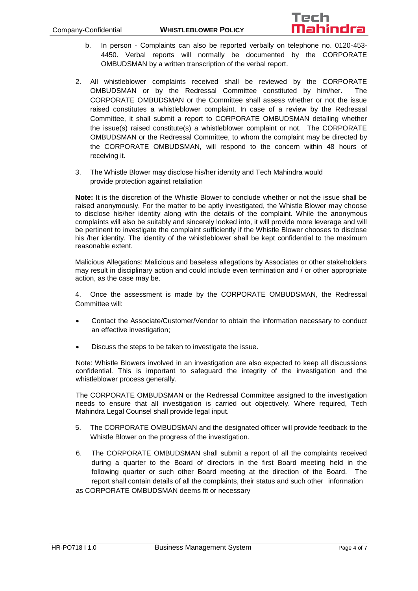

- b. In person Complaints can also be reported verbally on telephone no. 0120-453- 4450. Verbal reports will normally be documented by the CORPORATE OMBUDSMAN by a written transcription of the verbal report.
- 2. All whistleblower complaints received shall be reviewed by the CORPORATE OMBUDSMAN or by the Redressal Committee constituted by him/her. The CORPORATE OMBUDSMAN or the Committee shall assess whether or not the issue raised constitutes a whistleblower complaint. In case of a review by the Redressal Committee, it shall submit a report to CORPORATE OMBUDSMAN detailing whether the issue(s) raised constitute(s) a whistleblower complaint or not. The CORPORATE OMBUDSMAN or the Redressal Committee, to whom the complaint may be directed by the CORPORATE OMBUDSMAN, will respond to the concern within 48 hours of receiving it.
- 3. The Whistle Blower may disclose his/her identity and Tech Mahindra would provide protection against retaliation

**Note:** It is the discretion of the Whistle Blower to conclude whether or not the issue shall be raised anonymously. For the matter to be aptly investigated, the Whistle Blower may choose to disclose his/her identity along with the details of the complaint. While the anonymous complaints will also be suitably and sincerely looked into, it will provide more leverage and will be pertinent to investigate the complaint sufficiently if the Whistle Blower chooses to disclose his /her identity. The identity of the whistleblower shall be kept confidential to the maximum reasonable extent.

Malicious Allegations: Malicious and baseless allegations by Associates or other stakeholders may result in disciplinary action and could include even termination and / or other appropriate action, as the case may be.

4. Once the assessment is made by the CORPORATE OMBUDSMAN, the Redressal Committee will:

- Contact the Associate/Customer/Vendor to obtain the information necessary to conduct an effective investigation;
- Discuss the steps to be taken to investigate the issue.

Note: Whistle Blowers involved in an investigation are also expected to keep all discussions confidential. This is important to safeguard the integrity of the investigation and the whistleblower process generally.

The CORPORATE OMBUDSMAN or the Redressal Committee assigned to the investigation needs to ensure that all investigation is carried out objectively. Where required, Tech Mahindra Legal Counsel shall provide legal input.

- 5. The CORPORATE OMBUDSMAN and the designated officer will provide feedback to the Whistle Blower on the progress of the investigation.
- 6. The CORPORATE OMBUDSMAN shall submit a report of all the complaints received during a quarter to the Board of directors in the first Board meeting held in the following quarter or such other Board meeting at the direction of the Board. The report shall contain details of all the complaints, their status and such other information as CORPORATE OMBUDSMAN deems fit or necessary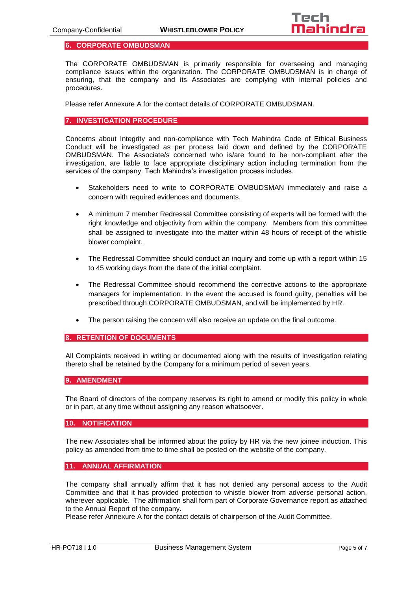## <span id="page-4-0"></span>**6. CORPORATE OMBUDSMAN**

The CORPORATE OMBUDSMAN is primarily responsible for overseeing and managing compliance issues within the organization. The CORPORATE OMBUDSMAN is in charge of ensuring, that the company and its Associates are complying with internal policies and procedures.

Please refer Annexure A for the contact details of CORPORATE OMBUDSMAN.

## <span id="page-4-1"></span>**7. INVESTIGATION PROCEDURE**

Concerns about Integrity and non-compliance with Tech Mahindra Code of Ethical Business Conduct will be investigated as per process laid down and defined by the CORPORATE OMBUDSMAN. The Associate/s concerned who is/are found to be non-compliant after the investigation, are liable to face appropriate disciplinary action including termination from the services of the company. Tech Mahindra's investigation process includes.

- Stakeholders need to write to CORPORATE OMBUDSMAN immediately and raise a concern with required evidences and documents.
- A minimum 7 member Redressal Committee consisting of experts will be formed with the right knowledge and objectivity from within the company. Members from this committee shall be assigned to investigate into the matter within 48 hours of receipt of the whistle blower complaint.
- The Redressal Committee should conduct an inquiry and come up with a report within 15 to 45 working days from the date of the initial complaint.
- The Redressal Committee should recommend the corrective actions to the appropriate managers for implementation. In the event the accused is found guilty, penalties will be prescribed through CORPORATE OMBUDSMAN, and will be implemented by HR.
- The person raising the concern will also receive an update on the final outcome.

#### <span id="page-4-2"></span>**8. RETENTION OF DOCUMENTS**

All Complaints received in writing or documented along with the results of investigation relating thereto shall be retained by the Company for a minimum period of seven years.

#### <span id="page-4-3"></span>**9. AMENDMENT**

The Board of directors of the company reserves its right to amend or modify this policy in whole or in part, at any time without assigning any reason whatsoever.

#### <span id="page-4-4"></span>**10. NOTIFICATION**

The new Associates shall be informed about the policy by HR via the new joinee induction. This policy as amended from time to time shall be posted on the website of the company.

# <span id="page-4-5"></span>**11. ANNUAL AFFIRMATION**

The company shall annually affirm that it has not denied any personal access to the Audit Committee and that it has provided protection to whistle blower from adverse personal action, wherever applicable. The affirmation shall form part of Corporate Governance report as attached to the Annual Report of the company.

Please refer Annexure A for the contact details of chairperson of the Audit Committee.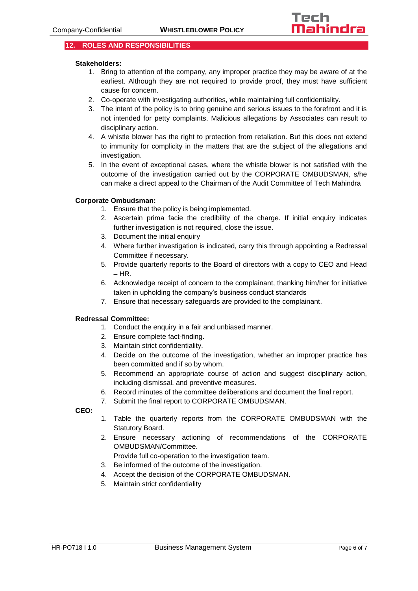# <span id="page-5-0"></span>**12. ROLES AND RESPONSIBILITIES**

## **Stakeholders:**

- 1. Bring to attention of the company, any improper practice they may be aware of at the earliest. Although they are not required to provide proof, they must have sufficient cause for concern.
- 2. Co-operate with investigating authorities, while maintaining full confidentiality.
- 3. The intent of the policy is to bring genuine and serious issues to the forefront and it is not intended for petty complaints. Malicious allegations by Associates can result to disciplinary action.
- 4. A whistle blower has the right to protection from retaliation. But this does not extend to immunity for complicity in the matters that are the subject of the allegations and investigation.
- 5. In the event of exceptional cases, where the whistle blower is not satisfied with the outcome of the investigation carried out by the CORPORATE OMBUDSMAN, s/he can make a direct appeal to the Chairman of the Audit Committee of Tech Mahindra

## **Corporate Ombudsman:**

- 1. Ensure that the policy is being implemented.
- 2. Ascertain prima facie the credibility of the charge. If initial enquiry indicates further investigation is not required, close the issue.
- 3. Document the initial enquiry
- 4. Where further investigation is indicated, carry this through appointing a Redressal Committee if necessary.
- 5. Provide quarterly reports to the Board of directors with a copy to CEO and Head  $-$  HR.
- 6. Acknowledge receipt of concern to the complainant, thanking him/her for initiative taken in upholding the company's business conduct standards
- 7. Ensure that necessary safeguards are provided to the complainant.

# **Redressal Committee:**

- 1. Conduct the enquiry in a fair and unbiased manner.
- 2. Ensure complete fact-finding.
- 3. Maintain strict confidentiality.
- 4. Decide on the outcome of the investigation, whether an improper practice has been committed and if so by whom.
- 5. Recommend an appropriate course of action and suggest disciplinary action, including dismissal, and preventive measures.
- 6. Record minutes of the committee deliberations and document the final report.
- 7. Submit the final report to CORPORATE OMBUDSMAN.

**CEO:**

- 1. Table the quarterly reports from the CORPORATE OMBUDSMAN with the Statutory Board.
- 2. Ensure necessary actioning of recommendations of the CORPORATE OMBUDSMAN/Committee.
	- Provide full co-operation to the investigation team.
- 3. Be informed of the outcome of the investigation.
- 4. Accept the decision of the CORPORATE OMBUDSMAN.
- 5. Maintain strict confidentiality